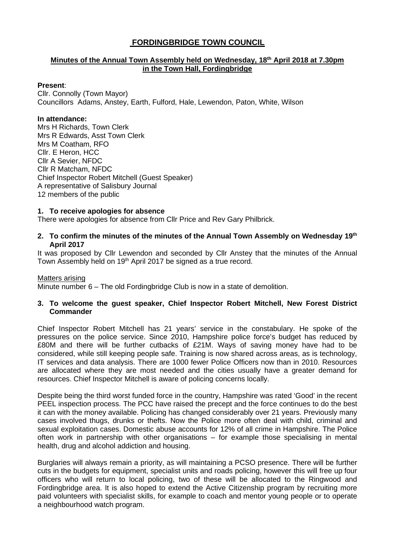# **FORDINGBRIDGE TOWN COUNCIL**

## **Minutes of the Annual Town Assembly held on Wednesday, 18th April 2018 at 7.30pm in the Town Hall, Fordingbridge**

#### **Present**:

Cllr. Connolly (Town Mayor) Councillors Adams, Anstey, Earth, Fulford, Hale, Lewendon, Paton, White, Wilson

#### **In attendance:**

Mrs H Richards, Town Clerk Mrs R Edwards, Asst Town Clerk Mrs M Coatham, RFO Cllr. E Heron, HCC Cllr A Sevier, NFDC Cllr R Matcham, NFDC Chief Inspector Robert Mitchell (Guest Speaker) A representative of Salisbury Journal 12 members of the public

#### **1. To receive apologies for absence**

There were apologies for absence from Cllr Price and Rev Gary Philbrick.

### **2. To confirm the minutes of the minutes of the Annual Town Assembly on Wednesday 19th April 2017**

It was proposed by Cllr Lewendon and seconded by Cllr Anstey that the minutes of the Annual Town Assembly held on 19<sup>th</sup> April 2017 be signed as a true record.

#### Matters arising

Minute number 6 – The old Fordingbridge Club is now in a state of demolition.

#### **3. To welcome the guest speaker, Chief Inspector Robert Mitchell, New Forest District Commander**

Chief Inspector Robert Mitchell has 21 years' service in the constabulary. He spoke of the pressures on the police service. Since 2010, Hampshire police force's budget has reduced by £80M and there will be further cutbacks of £21M. Ways of saving money have had to be considered, while still keeping people safe. Training is now shared across areas, as is technology, IT services and data analysis. There are 1000 fewer Police Officers now than in 2010. Resources are allocated where they are most needed and the cities usually have a greater demand for resources. Chief Inspector Mitchell is aware of policing concerns locally.

Despite being the third worst funded force in the country, Hampshire was rated 'Good' in the recent PEEL inspection process. The PCC have raised the precept and the force continues to do the best it can with the money available. Policing has changed considerably over 21 years. Previously many cases involved thugs, drunks or thefts. Now the Police more often deal with child, criminal and sexual exploitation cases. Domestic abuse accounts for 12% of all crime in Hampshire. The Police often work in partnership with other organisations – for example those specialising in mental health, drug and alcohol addiction and housing.

Burglaries will always remain a priority, as will maintaining a PCSO presence. There will be further cuts in the budgets for equipment, specialist units and roads policing, however this will free up four officers who will return to local policing, two of these will be allocated to the Ringwood and Fordingbridge area. It is also hoped to extend the Active Citizenship program by recruiting more paid volunteers with specialist skills, for example to coach and mentor young people or to operate a neighbourhood watch program.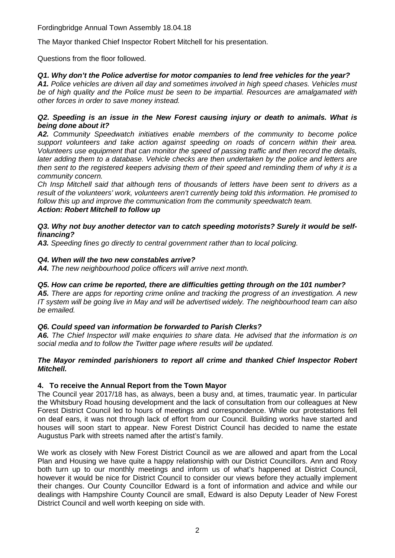Fordingbridge Annual Town Assembly 18.04.18

The Mayor thanked Chief Inspector Robert Mitchell for his presentation.

Questions from the floor followed.

# *Q1. Why don't the Police advertise for motor companies to lend free vehicles for the year?*

*A1. Police vehicles are driven all day and sometimes involved in high speed chases. Vehicles must be of high quality and the Police must be seen to be impartial. Resources are amalgamated with other forces in order to save money instead.*

### *Q2. Speeding is an issue in the New Forest causing injury or death to animals. What is being done about it?*

*A2. Community Speedwatch initiatives enable members of the community to become police support volunteers and take action against speeding on roads of concern within their area. Volunteers use equipment that can monitor the speed of passing traffic and then record the details, later adding them to a database. Vehicle checks are then undertaken by the police and letters are then sent to the registered keepers advising them of their speed and reminding them of why it is a community concern.*

*Ch Insp Mitchell said that although tens of thousands of letters have been sent to drivers as a result of the volunteers' work, volunteers aren't currently being told this information. He promised to follow this up and improve the communication from the community speedwatch team. Action: Robert Mitchell to follow up*

### *Q3. Why not buy another detector van to catch speeding motorists? Surely it would be selffinancing?*

*A3. Speeding fines go directly to central government rather than to local policing.* 

## *Q4. When will the two new constables arrive?*

*A4. The new neighbourhood police officers will arrive next month.*

# *Q5. How can crime be reported, there are difficulties getting through on the 101 number?*

*A5. There are apps for reporting crime online and tracking the progress of an investigation. A new IT system will be going live in May and will be advertised widely. The neighbourhood team can also be emailed.*

# *Q6. Could speed van information be forwarded to Parish Clerks?*

*A6. The Chief Inspector will make enquiries to share data. He advised that the information is on social media and to follow the Twitter page where results will be updated.*

## *The Mayor reminded parishioners to report all crime and thanked Chief Inspector Robert Mitchell.*

# **4. To receive the Annual Report from the Town Mayor**

The Council year 2017/18 has, as always, been a busy and, at times, traumatic year. In particular the Whitsbury Road housing development and the lack of consultation from our colleagues at New Forest District Council led to hours of meetings and correspondence. While our protestations fell on deaf ears, it was not through lack of effort from our Council. Building works have started and houses will soon start to appear. New Forest District Council has decided to name the estate Augustus Park with streets named after the artist's family.

We work as closely with New Forest District Council as we are allowed and apart from the Local Plan and Housing we have quite a happy relationship with our District Councillors. Ann and Roxy both turn up to our monthly meetings and inform us of what's happened at District Council, however it would be nice for District Council to consider our views before they actually implement their changes. Our County Councillor Edward is a font of information and advice and while our dealings with Hampshire County Council are small, Edward is also Deputy Leader of New Forest District Council and well worth keeping on side with.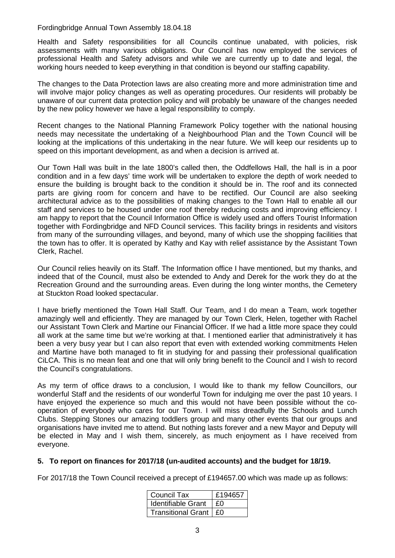### Fordingbridge Annual Town Assembly 18.04.18

Health and Safety responsibilities for all Councils continue unabated, with policies, risk assessments with many various obligations. Our Council has now employed the services of professional Health and Safety advisors and while we are currently up to date and legal, the working hours needed to keep everything in that condition is beyond our staffing capability.

The changes to the Data Protection laws are also creating more and more administration time and will involve major policy changes as well as operating procedures. Our residents will probably be unaware of our current data protection policy and will probably be unaware of the changes needed by the new policy however we have a legal responsibility to comply.

Recent changes to the National Planning Framework Policy together with the national housing needs may necessitate the undertaking of a Neighbourhood Plan and the Town Council will be looking at the implications of this undertaking in the near future. We will keep our residents up to speed on this important development, as and when a decision is arrived at.

Our Town Hall was built in the late 1800's called then, the Oddfellows Hall, the hall is in a poor condition and in a few days' time work will be undertaken to explore the depth of work needed to ensure the building is brought back to the condition it should be in. The roof and its connected parts are giving room for concern and have to be rectified. Our Council are also seeking architectural advice as to the possibilities of making changes to the Town Hall to enable all our staff and services to be housed under one roof thereby reducing costs and improving efficiency. I am happy to report that the Council Information Office is widely used and offers Tourist Information together with Fordingbridge and NFD Council services. This facility brings in residents and visitors from many of the surrounding villages, and beyond, many of which use the shopping facilities that the town has to offer. It is operated by Kathy and Kay with relief assistance by the Assistant Town Clerk, Rachel.

Our Council relies heavily on its Staff. The Information office I have mentioned, but my thanks, and indeed that of the Council, must also be extended to Andy and Derek for the work they do at the Recreation Ground and the surrounding areas. Even during the long winter months, the Cemetery at Stuckton Road looked spectacular.

I have briefly mentioned the Town Hall Staff. Our Team, and I do mean a Team, work together amazingly well and efficiently. They are managed by our Town Clerk, Helen, together with Rachel our Assistant Town Clerk and Martine our Financial Officer. If we had a little more space they could all work at the same time but we're working at that. I mentioned earlier that administratively it has been a very busy year but I can also report that even with extended working commitments Helen and Martine have both managed to fit in studying for and passing their professional qualification CiLCA. This is no mean feat and one that will only bring benefit to the Council and I wish to record the Council's congratulations.

As my term of office draws to a conclusion, I would like to thank my fellow Councillors, our wonderful Staff and the residents of our wonderful Town for indulging me over the past 10 years. I have enjoyed the experience so much and this would not have been possible without the cooperation of everybody who cares for our Town. I will miss dreadfully the Schools and Lunch Clubs. Stepping Stones our amazing toddlers group and many other events that our groups and organisations have invited me to attend. But nothing lasts forever and a new Mayor and Deputy will be elected in May and I wish them, sincerely, as much enjoyment as I have received from everyone.

## **5. To report on finances for 2017/18 (un-audited accounts) and the budget for 18/19.**

For 2017/18 the Town Council received a precept of £194657.00 which was made up as follows:

| <b>Council Tax</b>        | £194657 |
|---------------------------|---------|
| <b>Identifiable Grant</b> | £Ω      |
| Transitional Grant   £0   |         |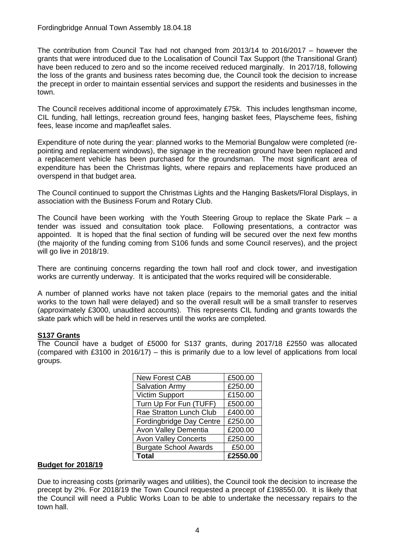The contribution from Council Tax had not changed from 2013/14 to 2016/2017 – however the grants that were introduced due to the Localisation of Council Tax Support (the Transitional Grant) have been reduced to zero and so the income received reduced marginally. In 2017/18, following the loss of the grants and business rates becoming due, the Council took the decision to increase the precept in order to maintain essential services and support the residents and businesses in the town.

The Council receives additional income of approximately £75k. This includes lengthsman income, CIL funding, hall lettings, recreation ground fees, hanging basket fees, Playscheme fees, fishing fees, lease income and map/leaflet sales.

Expenditure of note during the year: planned works to the Memorial Bungalow were completed (repointing and replacement windows), the signage in the recreation ground have been replaced and a replacement vehicle has been purchased for the groundsman. The most significant area of expenditure has been the Christmas lights, where repairs and replacements have produced an overspend in that budget area.

The Council continued to support the Christmas Lights and the Hanging Baskets/Floral Displays, in association with the Business Forum and Rotary Club.

The Council have been working with the Youth Steering Group to replace the Skate Park – a tender was issued and consultation took place. Following presentations, a contractor was appointed. It is hoped that the final section of funding will be secured over the next few months (the majority of the funding coming from S106 funds and some Council reserves), and the project will go live in 2018/19.

There are continuing concerns regarding the town hall roof and clock tower, and investigation works are currently underway. It is anticipated that the works required will be considerable.

A number of planned works have not taken place (repairs to the memorial gates and the initial works to the town hall were delayed) and so the overall result will be a small transfer to reserves (approximately £3000, unaudited accounts). This represents CIL funding and grants towards the skate park which will be held in reserves until the works are completed.

# **S137 Grants**

The Council have a budget of £5000 for S137 grants, during 2017/18 £2550 was allocated (compared with £3100 in 2016/17) – this is primarily due to a low level of applications from local groups.

| <b>New Forest CAB</b>        | £500.00  |
|------------------------------|----------|
| <b>Salvation Army</b>        | £250.00  |
| <b>Victim Support</b>        | £150.00  |
| Turn Up For Fun (TUFF)       | £500.00  |
| Rae Stratton Lunch Club      | £400.00  |
| Fordingbridge Day Centre     | £250.00  |
| Avon Valley Dementia         | £200.00  |
| <b>Avon Valley Concerts</b>  | £250.00  |
| <b>Burgate School Awards</b> | £50.00   |
| <b>Total</b>                 | £2550.00 |

## **Budget for 2018/19**

Due to increasing costs (primarily wages and utilities), the Council took the decision to increase the precept by 2%. For 2018/19 the Town Council requested a precept of £198550.00. It is likely that the Council will need a Public Works Loan to be able to undertake the necessary repairs to the town hall.